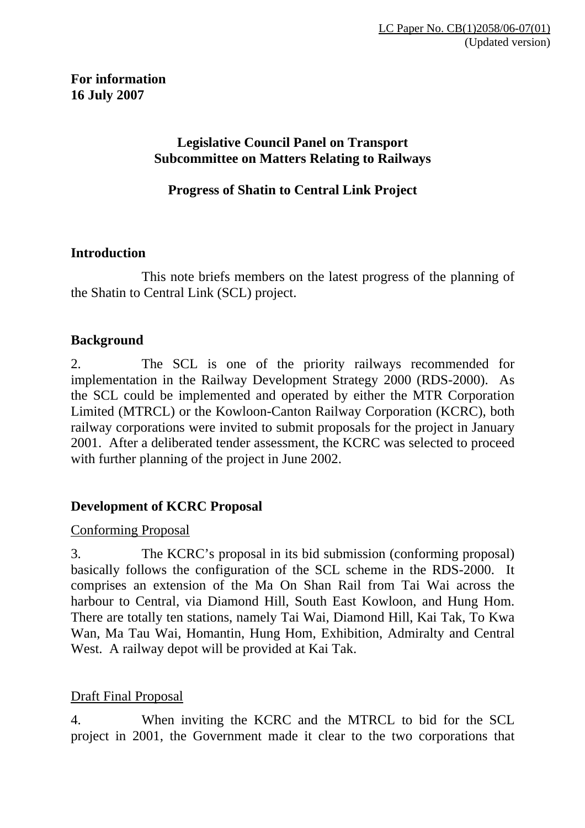# **For information 16 July 2007**

#### **Legislative Council Panel on Transport Subcommittee on Matters Relating to Railways**

**Progress of Shatin to Central Link Project** 

#### **Introduction**

This note briefs members on the latest progress of the planning of the Shatin to Central Link (SCL) project.

#### **Background**

2. The SCL is one of the priority railways recommended for implementation in the Railway Development Strategy 2000 (RDS-2000). As the SCL could be implemented and operated by either the MTR Corporation Limited (MTRCL) or the Kowloon-Canton Railway Corporation (KCRC), both railway corporations were invited to submit proposals for the project in January 2001. After a deliberated tender assessment, the KCRC was selected to proceed with further planning of the project in June 2002.

# **Development of KCRC Proposal**

#### Conforming Proposal

3. The KCRC's proposal in its bid submission (conforming proposal) basically follows the configuration of the SCL scheme in the RDS-2000. It comprises an extension of the Ma On Shan Rail from Tai Wai across the harbour to Central, via Diamond Hill, South East Kowloon, and Hung Hom. There are totally ten stations, namely Tai Wai, Diamond Hill, Kai Tak, To Kwa Wan, Ma Tau Wai, Homantin, Hung Hom, Exhibition, Admiralty and Central West. A railway depot will be provided at Kai Tak.

# Draft Final Proposal

4. When inviting the KCRC and the MTRCL to bid for the SCL project in 2001, the Government made it clear to the two corporations that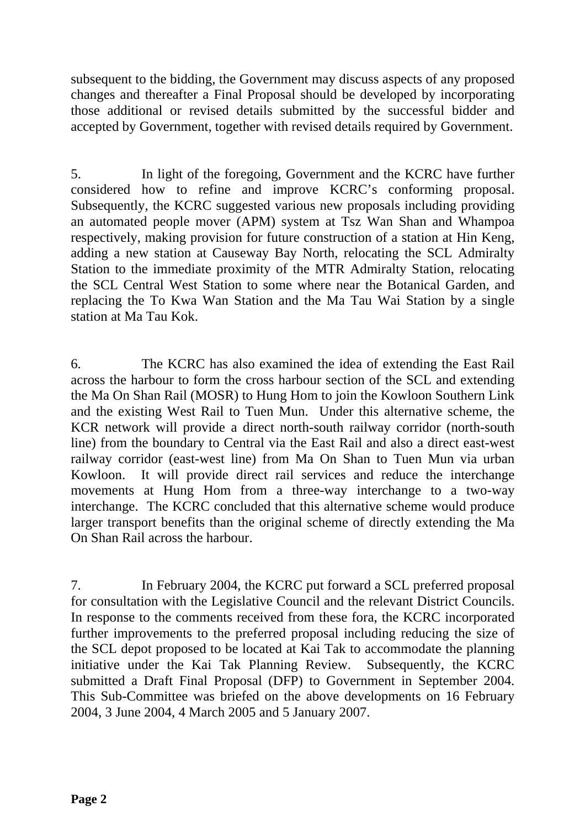subsequent to the bidding, the Government may discuss aspects of any proposed changes and thereafter a Final Proposal should be developed by incorporating those additional or revised details submitted by the successful bidder and accepted by Government, together with revised details required by Government.

5. In light of the foregoing, Government and the KCRC have further considered how to refine and improve KCRC's conforming proposal. Subsequently, the KCRC suggested various new proposals including providing an automated people mover (APM) system at Tsz Wan Shan and Whampoa respectively, making provision for future construction of a station at Hin Keng, adding a new station at Causeway Bay North, relocating the SCL Admiralty Station to the immediate proximity of the MTR Admiralty Station, relocating the SCL Central West Station to some where near the Botanical Garden, and replacing the To Kwa Wan Station and the Ma Tau Wai Station by a single station at Ma Tau Kok.

6. The KCRC has also examined the idea of extending the East Rail across the harbour to form the cross harbour section of the SCL and extending the Ma On Shan Rail (MOSR) to Hung Hom to join the Kowloon Southern Link and the existing West Rail to Tuen Mun. Under this alternative scheme, the KCR network will provide a direct north-south railway corridor (north-south line) from the boundary to Central via the East Rail and also a direct east-west railway corridor (east-west line) from Ma On Shan to Tuen Mun via urban Kowloon. It will provide direct rail services and reduce the interchange movements at Hung Hom from a three-way interchange to a two-way interchange. The KCRC concluded that this alternative scheme would produce larger transport benefits than the original scheme of directly extending the Ma On Shan Rail across the harbour.

7. In February 2004, the KCRC put forward a SCL preferred proposal for consultation with the Legislative Council and the relevant District Councils. In response to the comments received from these fora, the KCRC incorporated further improvements to the preferred proposal including reducing the size of the SCL depot proposed to be located at Kai Tak to accommodate the planning initiative under the Kai Tak Planning Review. Subsequently, the KCRC submitted a Draft Final Proposal (DFP) to Government in September 2004. This Sub-Committee was briefed on the above developments on 16 February 2004, 3 June 2004, 4 March 2005 and 5 January 2007.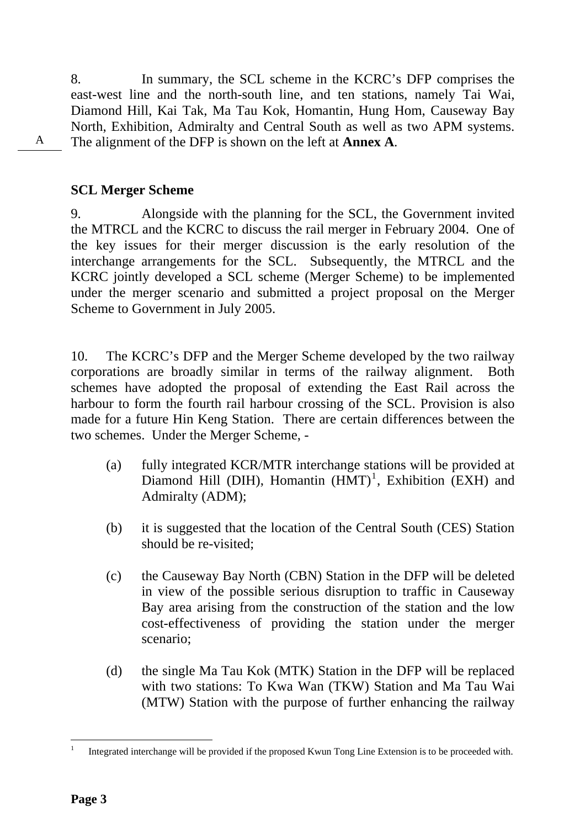8. In summary, the SCL scheme in the KCRC's DFP comprises the east-west line and the north-south line, and ten stations, namely Tai Wai, Diamond Hill, Kai Tak, Ma Tau Kok, Homantin, Hung Hom, Causeway Bay North, Exhibition, Admiralty and Central South as well as two APM systems. The alignment of the DFP is shown on the left at **Annex A**.

#### **SCL Merger Scheme**

A

9. Alongside with the planning for the SCL, the Government invited the MTRCL and the KCRC to discuss the rail merger in February 2004. One of the key issues for their merger discussion is the early resolution of the interchange arrangements for the SCL. Subsequently, the MTRCL and the KCRC jointly developed a SCL scheme (Merger Scheme) to be implemented under the merger scenario and submitted a project proposal on the Merger Scheme to Government in July 2005.

10. The KCRC's DFP and the Merger Scheme developed by the two railway corporations are broadly similar in terms of the railway alignment. Both schemes have adopted the proposal of extending the East Rail across the harbour to form the fourth rail harbour crossing of the SCL. Provision is also made for a future Hin Keng Station. There are certain differences between the two schemes. Under the Merger Scheme, -

- (a) fully integrated KCR/MTR interchange stations will be provided at Diamond Hill (DIH), Homantin  $(HMT)^1$ , Exhibition (EXH) and Admiralty (ADM);
- (b) it is suggested that the location of the Central South (CES) Station should be re-visited;
- (c) the Causeway Bay North (CBN) Station in the DFP will be deleted in view of the possible serious disruption to traffic in Causeway Bay area arising from the construction of the station and the low cost-effectiveness of providing the station under the merger scenario;
- (d) the single Ma Tau Kok (MTK) Station in the DFP will be replaced with two stations: To Kwa Wan (TKW) Station and Ma Tau Wai (MTW) Station with the purpose of further enhancing the railway

 $\overline{a}$ 

<sup>1</sup> Integrated interchange will be provided if the proposed Kwun Tong Line Extension is to be proceeded with.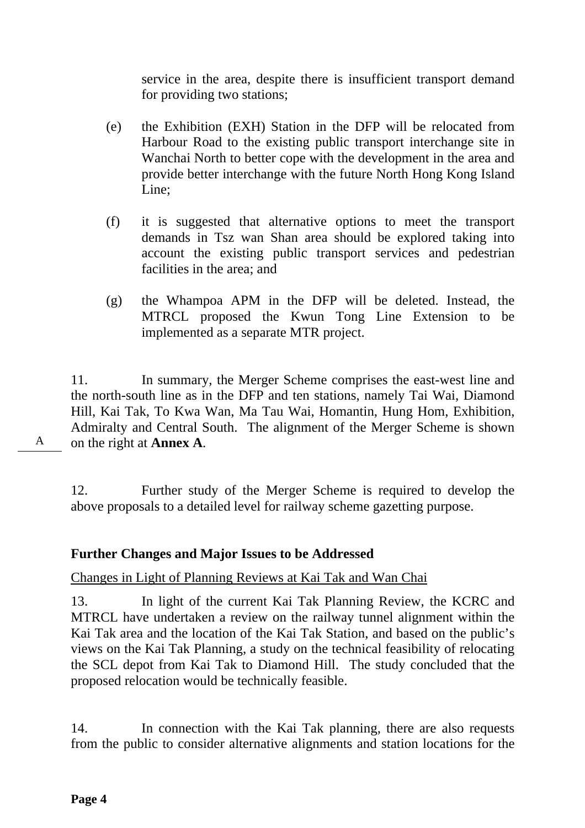service in the area, despite there is insufficient transport demand for providing two stations;

- (e) the Exhibition (EXH) Station in the DFP will be relocated from Harbour Road to the existing public transport interchange site in Wanchai North to better cope with the development in the area and provide better interchange with the future North Hong Kong Island Line;
- (f) it is suggested that alternative options to meet the transport demands in Tsz wan Shan area should be explored taking into account the existing public transport services and pedestrian facilities in the area; and
- (g) the Whampoa APM in the DFP will be deleted. Instead, the MTRCL proposed the Kwun Tong Line Extension to be implemented as a separate MTR project.

11. In summary, the Merger Scheme comprises the east-west line and the north-south line as in the DFP and ten stations, namely Tai Wai, Diamond Hill, Kai Tak, To Kwa Wan, Ma Tau Wai, Homantin, Hung Hom, Exhibition, Admiralty and Central South. The alignment of the Merger Scheme is shown on the right at **Annex A**.

A

12. Further study of the Merger Scheme is required to develop the above proposals to a detailed level for railway scheme gazetting purpose.

# **Further Changes and Major Issues to be Addressed**

Changes in Light of Planning Reviews at Kai Tak and Wan Chai

13. In light of the current Kai Tak Planning Review, the KCRC and MTRCL have undertaken a review on the railway tunnel alignment within the Kai Tak area and the location of the Kai Tak Station, and based on the public's views on the Kai Tak Planning, a study on the technical feasibility of relocating the SCL depot from Kai Tak to Diamond Hill. The study concluded that the proposed relocation would be technically feasible.

14. In connection with the Kai Tak planning, there are also requests from the public to consider alternative alignments and station locations for the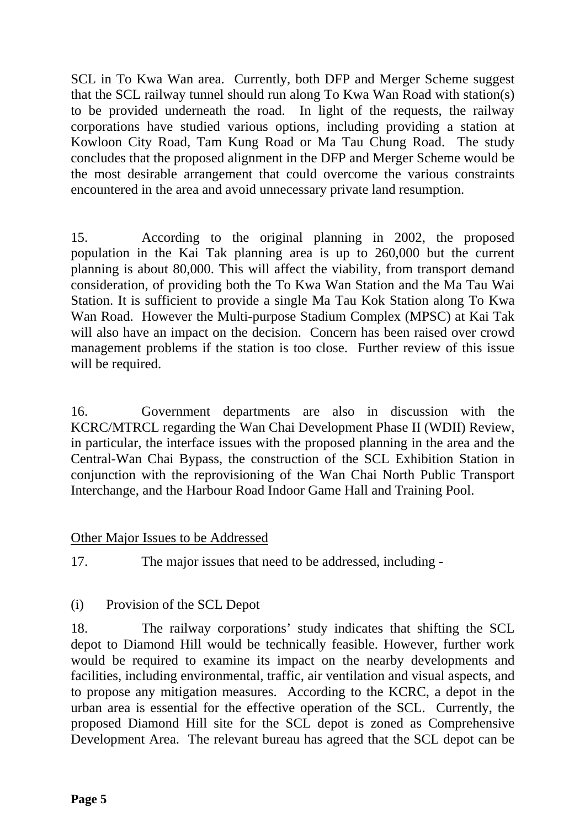SCL in To Kwa Wan area. Currently, both DFP and Merger Scheme suggest that the SCL railway tunnel should run along To Kwa Wan Road with station(s) to be provided underneath the road. In light of the requests, the railway corporations have studied various options, including providing a station at Kowloon City Road, Tam Kung Road or Ma Tau Chung Road. The study concludes that the proposed alignment in the DFP and Merger Scheme would be the most desirable arrangement that could overcome the various constraints encountered in the area and avoid unnecessary private land resumption.

15. According to the original planning in 2002, the proposed population in the Kai Tak planning area is up to 260,000 but the current planning is about 80,000. This will affect the viability, from transport demand consideration, of providing both the To Kwa Wan Station and the Ma Tau Wai Station. It is sufficient to provide a single Ma Tau Kok Station along To Kwa Wan Road. However the Multi-purpose Stadium Complex (MPSC) at Kai Tak will also have an impact on the decision. Concern has been raised over crowd management problems if the station is too close. Further review of this issue will be required.

16. Government departments are also in discussion with the KCRC/MTRCL regarding the Wan Chai Development Phase II (WDII) Review, in particular, the interface issues with the proposed planning in the area and the Central-Wan Chai Bypass, the construction of the SCL Exhibition Station in conjunction with the reprovisioning of the Wan Chai North Public Transport Interchange, and the Harbour Road Indoor Game Hall and Training Pool.

#### Other Major Issues to be Addressed

17. The major issues that need to be addressed, including -

# (i) Provision of the SCL Depot

18. The railway corporations' study indicates that shifting the SCL depot to Diamond Hill would be technically feasible. However, further work would be required to examine its impact on the nearby developments and facilities, including environmental, traffic, air ventilation and visual aspects, and to propose any mitigation measures. According to the KCRC, a depot in the urban area is essential for the effective operation of the SCL. Currently, the proposed Diamond Hill site for the SCL depot is zoned as Comprehensive Development Area. The relevant bureau has agreed that the SCL depot can be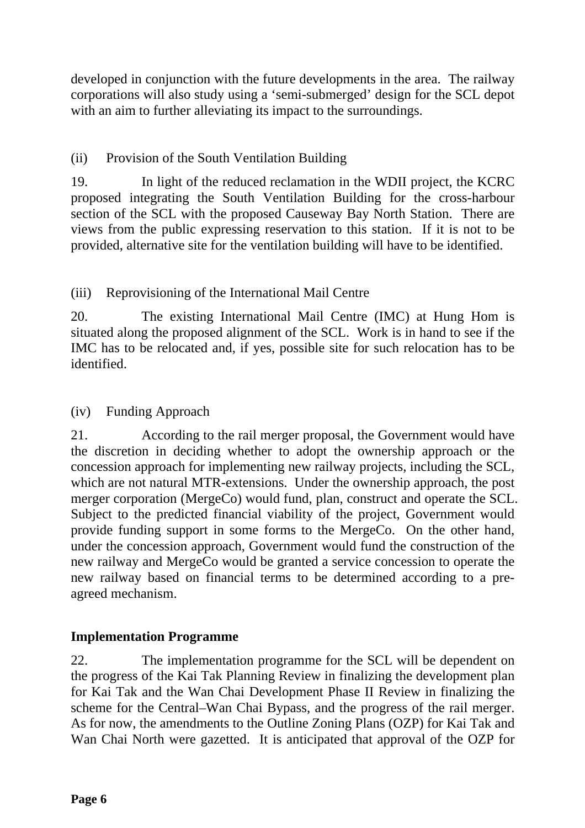developed in conjunction with the future developments in the area. The railway corporations will also study using a 'semi-submerged' design for the SCL depot with an aim to further alleviating its impact to the surroundings.

# (ii) Provision of the South Ventilation Building

19. In light of the reduced reclamation in the WDII project, the KCRC proposed integrating the South Ventilation Building for the cross-harbour section of the SCL with the proposed Causeway Bay North Station. There are views from the public expressing reservation to this station. If it is not to be provided, alternative site for the ventilation building will have to be identified.

# (iii) Reprovisioning of the International Mail Centre

20. The existing International Mail Centre (IMC) at Hung Hom is situated along the proposed alignment of the SCL. Work is in hand to see if the IMC has to be relocated and, if yes, possible site for such relocation has to be identified.

# (iv) Funding Approach

21. According to the rail merger proposal, the Government would have the discretion in deciding whether to adopt the ownership approach or the concession approach for implementing new railway projects, including the SCL, which are not natural MTR-extensions. Under the ownership approach, the post merger corporation (MergeCo) would fund, plan, construct and operate the SCL. Subject to the predicted financial viability of the project, Government would provide funding support in some forms to the MergeCo. On the other hand, under the concession approach, Government would fund the construction of the new railway and MergeCo would be granted a service concession to operate the new railway based on financial terms to be determined according to a preagreed mechanism.

# **Implementation Programme**

22. The implementation programme for the SCL will be dependent on the progress of the Kai Tak Planning Review in finalizing the development plan for Kai Tak and the Wan Chai Development Phase II Review in finalizing the scheme for the Central–Wan Chai Bypass, and the progress of the rail merger. As for now, the amendments to the Outline Zoning Plans (OZP) for Kai Tak and Wan Chai North were gazetted. It is anticipated that approval of the OZP for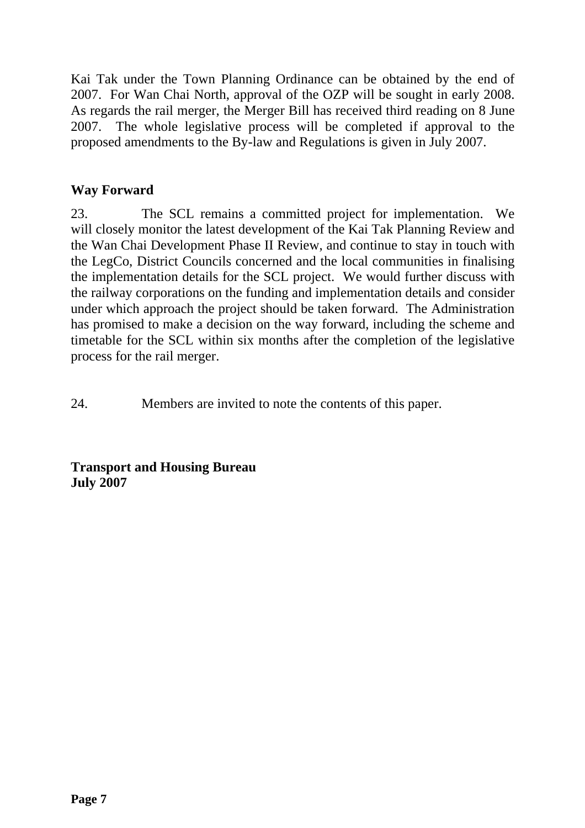Kai Tak under the Town Planning Ordinance can be obtained by the end of 2007. For Wan Chai North, approval of the OZP will be sought in early 2008. As regards the rail merger, the Merger Bill has received third reading on 8 June 2007. The whole legislative process will be completed if approval to the proposed amendments to the By-law and Regulations is given in July 2007.

#### **Way Forward**

23. The SCL remains a committed project for implementation. We will closely monitor the latest development of the Kai Tak Planning Review and the Wan Chai Development Phase II Review, and continue to stay in touch with the LegCo, District Councils concerned and the local communities in finalising the implementation details for the SCL project. We would further discuss with the railway corporations on the funding and implementation details and consider under which approach the project should be taken forward. The Administration has promised to make a decision on the way forward, including the scheme and timetable for the SCL within six months after the completion of the legislative process for the rail merger.

24. Members are invited to note the contents of this paper.

**Transport and Housing Bureau July 2007**